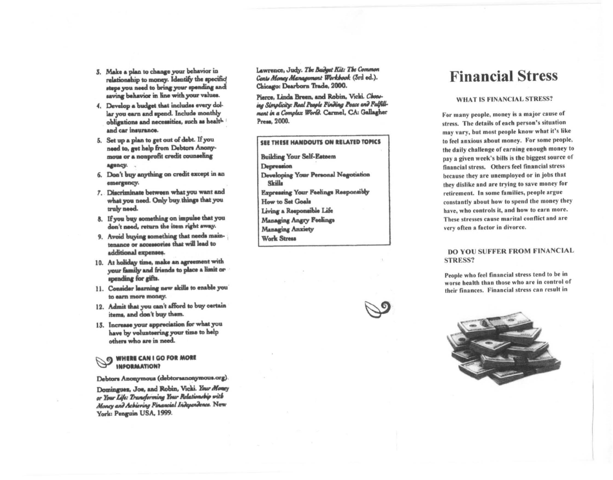- 3. Make a plan to change your behavior in relationship to money. Identify the specific steps you need to bring your spending and saving behavior in line with your values.
- 4. Develop a budget that includes every dollar you earn and spend. Include monthly obligations and necessities, such as health and car insurance.
- 5. Set up a plan to get out of debt. If you need to, get help from Debtors Anonymous or a nonprofit credit counseling agency.
- 6. Don't buy anything on credit except in an emergency.
- 7. Discriminate between what you want and what you need. Only buy things that you truly need.
- 8. If you buy something on impulse that you don't need, return the item right away.
- 9. Avoid buying something that needs maintenance or accessories that will lead to additional expenses.
- 10. At holiday time, make an agreement with your family and friends to place a limit or spending for gifts.
- 11. Consider learning new skills to enable you to earn more money.
- 12. Admit that you can't afford to buy certain items, and don't buy them.
- 13. Increase your appreciation for what you have by volunteering your time to help others who are in need.

**WHERE CAN I GO FOR MORE INFORMATION?** 

Debtors Anonymous (debtorsanonymous.org).

Dominguez, Joe, and Robin, Vicki. Your Money or Your Life: Transforming Your Relationship with Money and Achieving Financial Independence. New York: Penguin USA, 1999.

Lawrence, Judy. The Budget Kit: The Common Cents Money Management Workbook (3rd ed.). Chicago: Dearborn Trade, 2000.

Pierce, Linda Breen, and Robin, Vicki. Choosing Simplicity: Real People Finding Peace and Fulfillment in a Complex World. Carmel, CA: Gallagher Press, 2000.

# SEE THESE HANDOUTS ON RELATED TOPICS

**Building Your Self-Eateem** Depression Developing Your Personal Negotiation Skilla **Expressing Your Feelings Responsibly** How to Set Goals Living a Responsible Life Managing Angry Feelings **Managing Anxiety Work Stress** 



# **Financial Stress**

### **WHAT IS FINANCIAL STRESS?**

For many people, money is a major cause of stress. The details of each person's situation may vary, but most people know what it's like to feel anxious about money. For some people, the daily challenge of earning enough money to pay a given week's bills is the biggest source of financial stress. Others feel financial stress because they are unemployed or in jobs that they dislike and are trying to save money for retirement. In some families, people argue constantly about how to spend the money they have, who controls it, and how to earn more. These stresses cause marital conflict and are very often a factor in divorce.

## **DO YOU SUFFER FROM FINANCIAL STRESS?**

People who feel financial stress tend to be in worse health than those who are in control of their finances. Financial stress can result in